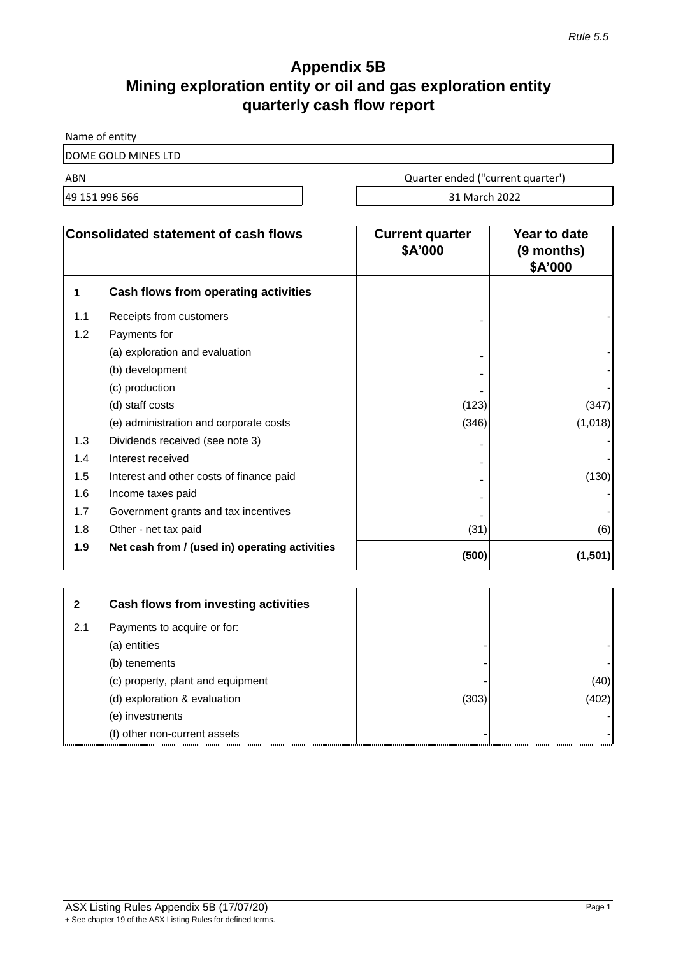# **Appendix 5B Mining exploration entity or oil and gas exploration entity quarterly cash flow report**

Name of entity

DOME GOLD MINES LTD

ABN Quarter ended ("current quarter')

49 151 996 566 31 March 2022

| <b>Consolidated statement of cash flows</b> |                                                | <b>Current quarter</b><br>\$A'000 | Year to date<br>(9 months)<br>\$A'000 |
|---------------------------------------------|------------------------------------------------|-----------------------------------|---------------------------------------|
| 1                                           | Cash flows from operating activities           |                                   |                                       |
| 1.1                                         | Receipts from customers                        |                                   |                                       |
| 1.2                                         | Payments for                                   |                                   |                                       |
|                                             | (a) exploration and evaluation                 |                                   |                                       |
|                                             | (b) development                                |                                   |                                       |
|                                             | (c) production                                 |                                   |                                       |
|                                             | (d) staff costs                                | (123)                             | (347)                                 |
|                                             | (e) administration and corporate costs         | (346)                             | (1,018)                               |
| 1.3                                         | Dividends received (see note 3)                |                                   |                                       |
| 1.4                                         | Interest received                              |                                   |                                       |
| 1.5                                         | Interest and other costs of finance paid       |                                   | (130)                                 |
| 1.6                                         | Income taxes paid                              |                                   |                                       |
| 1.7                                         | Government grants and tax incentives           |                                   |                                       |
| 1.8                                         | Other - net tax paid                           | (31)                              | (6)                                   |
| 1.9                                         | Net cash from / (used in) operating activities | (500)                             | (1,501)                               |

| 2   | Cash flows from investing activities |       |       |
|-----|--------------------------------------|-------|-------|
| 2.1 | Payments to acquire or for:          |       |       |
|     | (a) entities                         |       |       |
|     | (b) tenements                        |       |       |
|     | (c) property, plant and equipment    |       | (40)  |
|     | (d) exploration & evaluation         | (303) | (402) |
|     | (e) investments                      |       |       |
|     | (f) other non-current assets         |       |       |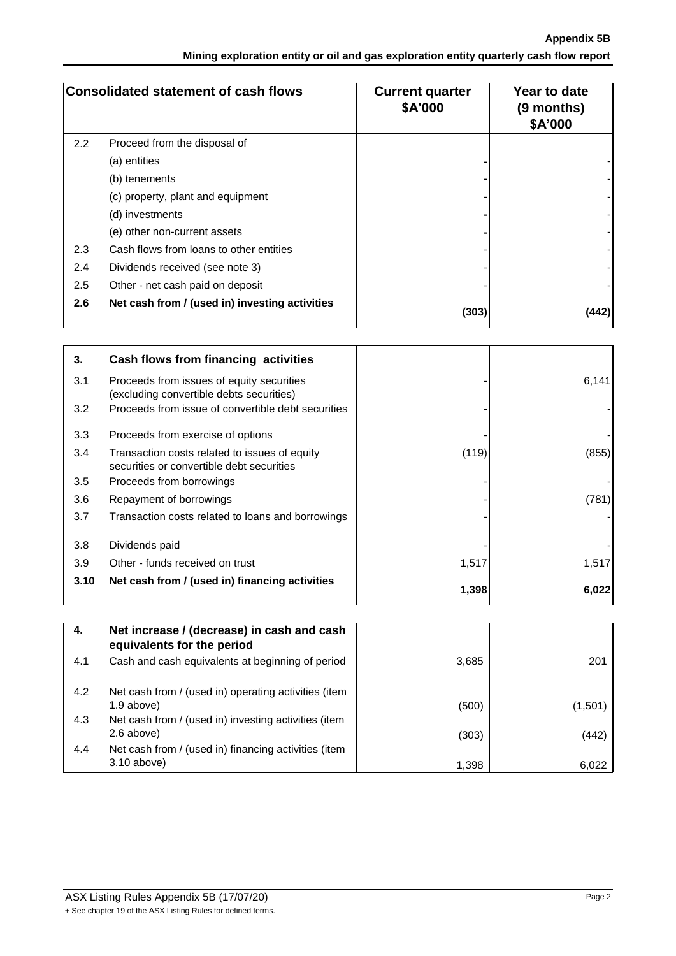**Appendix 5B Mining exploration entity or oil and gas exploration entity quarterly cash flow report**

| <b>Consolidated statement of cash flows</b> |                                                | <b>Current quarter</b><br>\$A'000 | Year to date<br>(9 months)<br>\$A'000 |
|---------------------------------------------|------------------------------------------------|-----------------------------------|---------------------------------------|
| 2.2                                         | Proceed from the disposal of                   |                                   |                                       |
|                                             | (a) entities                                   |                                   |                                       |
|                                             | (b) tenements                                  |                                   |                                       |
|                                             | (c) property, plant and equipment              |                                   |                                       |
|                                             | (d) investments                                |                                   |                                       |
|                                             | (e) other non-current assets                   |                                   |                                       |
| 2.3                                         | Cash flows from loans to other entities        |                                   |                                       |
| 2.4                                         | Dividends received (see note 3)                |                                   |                                       |
| 2.5                                         | Other - net cash paid on deposit               |                                   |                                       |
| 2.6                                         | Net cash from / (used in) investing activities | (303)                             | (442)                                 |

| 3.   | Cash flows from financing activities                                                       |       |       |
|------|--------------------------------------------------------------------------------------------|-------|-------|
| 3.1  | Proceeds from issues of equity securities<br>(excluding convertible debts securities)      |       | 6,141 |
| 3.2  | Proceeds from issue of convertible debt securities                                         |       |       |
| 3.3  | Proceeds from exercise of options                                                          |       |       |
| 3.4  | Transaction costs related to issues of equity<br>securities or convertible debt securities | (119) | (855) |
| 3.5  | Proceeds from borrowings                                                                   |       |       |
| 3.6  | Repayment of borrowings                                                                    |       | (781) |
| 3.7  | Transaction costs related to loans and borrowings                                          |       |       |
| 3.8  | Dividends paid                                                                             |       |       |
| 3.9  | Other - funds received on trust                                                            | 1,517 | 1,517 |
| 3.10 | Net cash from / (used in) financing activities                                             | 1,398 | 6,022 |

| 4.  | Net increase / (decrease) in cash and cash<br>equivalents for the period |       |         |
|-----|--------------------------------------------------------------------------|-------|---------|
| 4.1 | Cash and cash equivalents at beginning of period                         | 3,685 | 201     |
| 4.2 | Net cash from / (used in) operating activities (item                     |       |         |
|     | $1.9$ above)                                                             | (500) | (1,501) |
| 4.3 | Net cash from / (used in) investing activities (item                     |       |         |
|     | 2.6 above)                                                               | (303) | (442)   |
| 4.4 | Net cash from / (used in) financing activities (item                     |       |         |
|     | $3.10$ above)                                                            | 1,398 | 6,022   |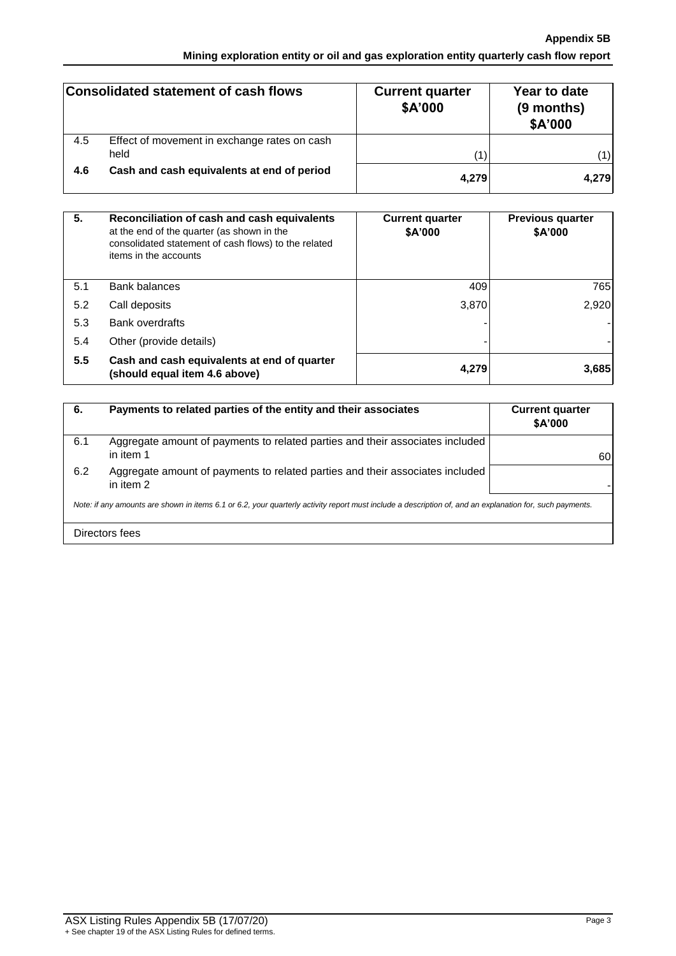## **Appendix 5B Mining exploration entity or oil and gas exploration entity quarterly cash flow report**

|     | Consolidated statement of cash flows                 | <b>Current quarter</b><br>\$A'000 | Year to date<br>(9 months)<br>\$A'000 |
|-----|------------------------------------------------------|-----------------------------------|---------------------------------------|
| 4.5 | Effect of movement in exchange rates on cash<br>held | (1)                               | 1)                                    |
|     |                                                      |                                   |                                       |
| 4.6 | Cash and cash equivalents at end of period           | 4,279                             | 4,279                                 |

| 5.  | Reconciliation of cash and cash equivalents<br>at the end of the quarter (as shown in the<br>consolidated statement of cash flows) to the related<br>items in the accounts | <b>Current quarter</b><br>\$A'000 | <b>Previous quarter</b><br>\$A'000 |
|-----|----------------------------------------------------------------------------------------------------------------------------------------------------------------------------|-----------------------------------|------------------------------------|
| 5.1 | <b>Bank balances</b>                                                                                                                                                       | 409                               | 765                                |
| 5.2 | Call deposits                                                                                                                                                              | 3,870                             | 2,920                              |
| 5.3 | <b>Bank overdrafts</b>                                                                                                                                                     |                                   |                                    |
| 5.4 | Other (provide details)                                                                                                                                                    |                                   |                                    |
| 5.5 | Cash and cash equivalents at end of quarter<br>(should equal item 4.6 above)                                                                                               | 4,279                             | 3,685                              |

| 6.                                                                                                                                                       | Payments to related parties of the entity and their associates                             | <b>Current quarter</b><br>\$A'000 |
|----------------------------------------------------------------------------------------------------------------------------------------------------------|--------------------------------------------------------------------------------------------|-----------------------------------|
| 6.1                                                                                                                                                      | Aggregate amount of payments to related parties and their associates included<br>in item 1 | 60                                |
| 6.2                                                                                                                                                      | Aggregate amount of payments to related parties and their associates included<br>in item 2 |                                   |
| Note: if any amounts are shown in items 6.1 or 6.2, your quarterly activity report must include a description of, and an explanation for, such payments. |                                                                                            |                                   |
|                                                                                                                                                          | Directors fees                                                                             |                                   |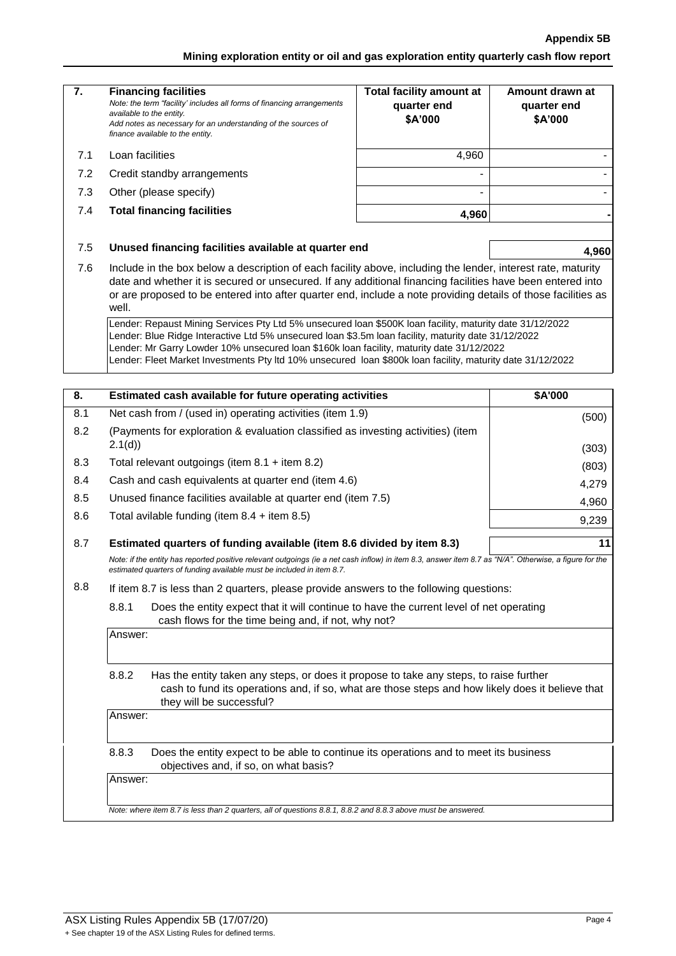### **Appendix 5B**

**Mining exploration entity or oil and gas exploration entity quarterly cash flow report**

| 7.  | <b>Financing facilities</b><br>Note: the term "facility' includes all forms of financing arrangements<br>available to the entity.<br>Add notes as necessary for an understanding of the sources of<br>finance available to the entity.                                                                                                                                                                                     | <b>Total facility amount at</b><br>quarter end<br>\$A'000 | Amount drawn at<br>quarter end<br>\$A'000 |  |
|-----|----------------------------------------------------------------------------------------------------------------------------------------------------------------------------------------------------------------------------------------------------------------------------------------------------------------------------------------------------------------------------------------------------------------------------|-----------------------------------------------------------|-------------------------------------------|--|
| 7.1 | Loan facilities                                                                                                                                                                                                                                                                                                                                                                                                            | 4,960                                                     |                                           |  |
| 7.2 | Credit standby arrangements                                                                                                                                                                                                                                                                                                                                                                                                |                                                           |                                           |  |
| 7.3 | Other (please specify)                                                                                                                                                                                                                                                                                                                                                                                                     |                                                           |                                           |  |
| 7.4 | <b>Total financing facilities</b>                                                                                                                                                                                                                                                                                                                                                                                          | 4,960                                                     |                                           |  |
| 7.5 | Unused financing facilities available at quarter end                                                                                                                                                                                                                                                                                                                                                                       |                                                           | 4,960                                     |  |
| 7.6 | Include in the box below a description of each facility above, including the lender, interest rate, maturity<br>date and whether it is secured or unsecured. If any additional financing facilities have been entered into<br>or are proposed to be entered into after quarter end, include a note providing details of those facilities as<br>well.                                                                       |                                                           |                                           |  |
|     | Lender: Repaust Mining Services Pty Ltd 5% unsecured loan \$500K loan facility, maturity date 31/12/2022<br>Lender: Blue Ridge Interactive Ltd 5% unsecured loan \$3.5m loan facility, maturity date 31/12/2022<br>Lender: Mr Garry Lowder 10% unsecured loan \$160k loan facility, maturity date 31/12/2022<br>Lender: Fleet Market Investments Pty Itd 10% unsecured loan \$800k loan facility, maturity date 31/12/2022 |                                                           |                                           |  |
| 8.  | Estimated cash available for future operating activities                                                                                                                                                                                                                                                                                                                                                                   |                                                           | \$A'000                                   |  |
| 8.1 | Net cash from / (used in) operating activities (item 1.9)                                                                                                                                                                                                                                                                                                                                                                  |                                                           | (500)                                     |  |
| 8.2 | (Payments for exploration & evaluation classified as investing activities) (item<br>2.1(d)                                                                                                                                                                                                                                                                                                                                 |                                                           | (303)                                     |  |
| 8.3 | Total relevant outgoings (item $8.1 +$ item $8.2$ )                                                                                                                                                                                                                                                                                                                                                                        |                                                           | (803)                                     |  |
| 8.4 | Cash and cash equivalents at quarter end (item 4.6)                                                                                                                                                                                                                                                                                                                                                                        |                                                           | 4,279                                     |  |
| 8.5 | Unused finance facilities available at quarter end (item 7.5)                                                                                                                                                                                                                                                                                                                                                              |                                                           | 4,960                                     |  |
| 8.6 | Total avilable funding (item $8.4 +$ item $8.5$ )                                                                                                                                                                                                                                                                                                                                                                          |                                                           | 9,239                                     |  |
| 8.7 | Estimated quarters of funding available (item 8.6 divided by item 8.3)<br>11                                                                                                                                                                                                                                                                                                                                               |                                                           |                                           |  |
|     | Note: if the entity has reported positive relevant outgoings (ie a net cash inflow) in item 8.3, answer item 8.7 as "N/A". Otherwise, a figure for the<br>estimated quarters of funding available must be included in item 8.7.                                                                                                                                                                                            |                                                           |                                           |  |
| 8.8 | If item 8.7 is less than 2 quarters, please provide answers to the following questions:                                                                                                                                                                                                                                                                                                                                    |                                                           |                                           |  |
|     | 8.8.1<br>Does the entity expect that it will continue to have the current level of net operating<br>cash flows for the time being and, if not, why not?                                                                                                                                                                                                                                                                    |                                                           |                                           |  |
|     | Answer:                                                                                                                                                                                                                                                                                                                                                                                                                    |                                                           |                                           |  |
|     | 8.8.2<br>Has the entity taken any steps, or does it propose to take any steps, to raise further<br>cash to fund its operations and, if so, what are those steps and how likely does it believe that<br>they will be successful?                                                                                                                                                                                            |                                                           |                                           |  |
|     | Answer:                                                                                                                                                                                                                                                                                                                                                                                                                    |                                                           |                                           |  |
|     | 8.8.3<br>Does the entity expect to be able to continue its operations and to meet its business<br>objectives and, if so, on what basis?                                                                                                                                                                                                                                                                                    |                                                           |                                           |  |
|     | Answer:                                                                                                                                                                                                                                                                                                                                                                                                                    |                                                           |                                           |  |
|     |                                                                                                                                                                                                                                                                                                                                                                                                                            |                                                           |                                           |  |